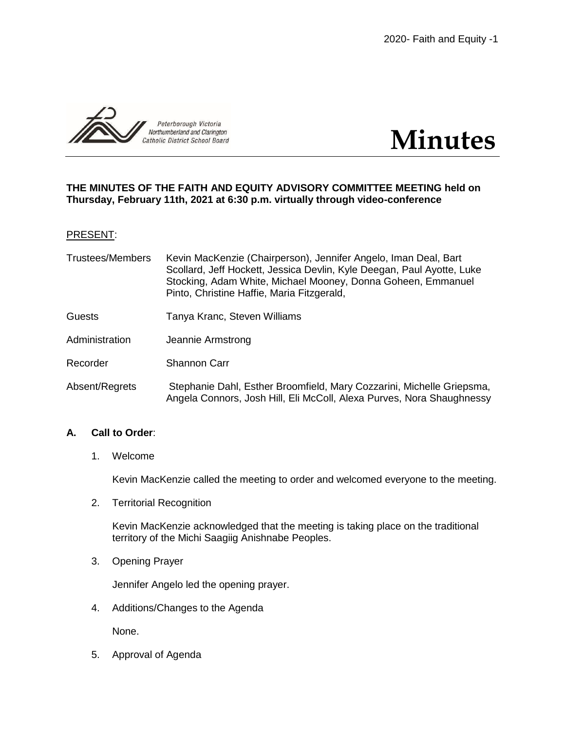



### **THE MINUTES OF THE FAITH AND EQUITY ADVISORY COMMITTEE MEETING held on Thursday, February 11th, 2021 at 6:30 p.m. virtually through video-conference**

#### PRESENT:

| <b>Trustees/Members</b> | Kevin MacKenzie (Chairperson), Jennifer Angelo, Iman Deal, Bart<br>Scollard, Jeff Hockett, Jessica Devlin, Kyle Deegan, Paul Ayotte, Luke |
|-------------------------|-------------------------------------------------------------------------------------------------------------------------------------------|
|                         | Stocking, Adam White, Michael Mooney, Donna Goheen, Emmanuel<br>Pinto, Christine Haffie, Maria Fitzgerald,                                |

- Guests Tanya Kranc, Steven Williams
- Administration Jeannie Armstrong
- Recorder Shannon Carr
- Absent/Regrets Stephanie Dahl, Esther Broomfield, Mary Cozzarini, Michelle Griepsma, Angela Connors, Josh Hill, Eli McColl, Alexa Purves, Nora Shaughnessy

### **A. Call to Order**:

1. Welcome

Kevin MacKenzie called the meeting to order and welcomed everyone to the meeting.

2. Territorial Recognition

Kevin MacKenzie acknowledged that the meeting is taking place on the traditional territory of the Michi Saagiig Anishnabe Peoples.

3. Opening Prayer

Jennifer Angelo led the opening prayer.

4. Additions/Changes to the Agenda

None.

5. Approval of Agenda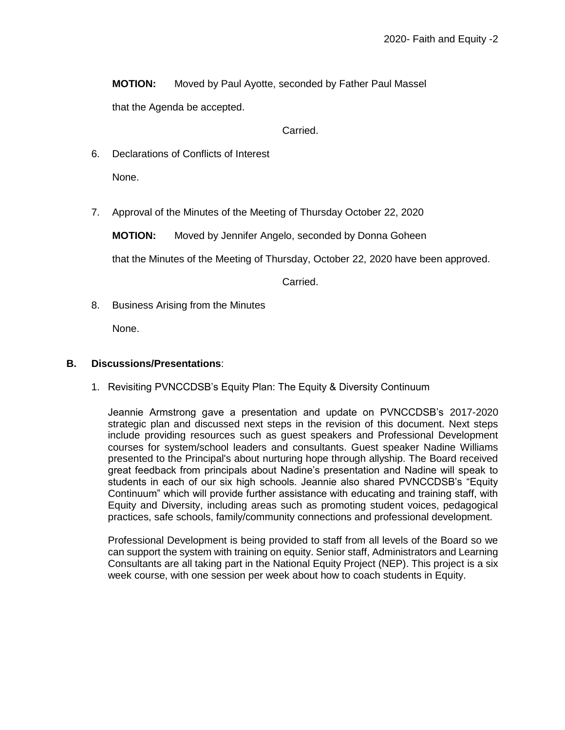**MOTION:** Moved by Paul Ayotte, seconded by Father Paul Massel

that the Agenda be accepted.

Carried.

6. Declarations of Conflicts of Interest

None.

7. Approval of the Minutes of the Meeting of Thursday October 22, 2020

**MOTION:** Moved by Jennifer Angelo, seconded by Donna Goheen

that the Minutes of the Meeting of Thursday, October 22, 2020 have been approved.

Carried.

8. Business Arising from the Minutes

None.

### **B. Discussions/Presentations**:

1. Revisiting PVNCCDSB's Equity Plan: The Equity & Diversity Continuum

Jeannie Armstrong gave a presentation and update on PVNCCDSB's 2017-2020 strategic plan and discussed next steps in the revision of this document. Next steps include providing resources such as guest speakers and Professional Development courses for system/school leaders and consultants. Guest speaker Nadine Williams presented to the Principal's about nurturing hope through allyship. The Board received great feedback from principals about Nadine's presentation and Nadine will speak to students in each of our six high schools. Jeannie also shared PVNCCDSB's "Equity Continuum" which will provide further assistance with educating and training staff, with Equity and Diversity, including areas such as promoting student voices, pedagogical practices, safe schools, family/community connections and professional development.

Professional Development is being provided to staff from all levels of the Board so we can support the system with training on equity. Senior staff, Administrators and Learning Consultants are all taking part in the National Equity Project (NEP). This project is a six week course, with one session per week about how to coach students in Equity.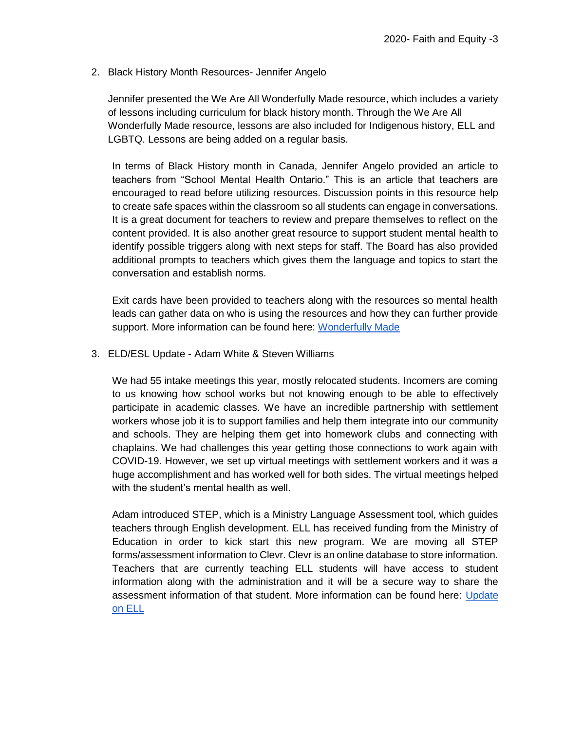### 2. Black History Month Resources- Jennifer Angelo

Jennifer presented the We Are All Wonderfully Made resource, which includes a variety of lessons including curriculum for black history month. Through the We Are All Wonderfully Made resource, lessons are also included for Indigenous history, ELL and LGBTQ. Lessons are being added on a regular basis.

In terms of Black History month in Canada, Jennifer Angelo provided an article to teachers from "School Mental Health Ontario." This is an article that teachers are encouraged to read before utilizing resources. Discussion points in this resource help to create safe spaces within the classroom so all students can engage in conversations. It is a great document for teachers to review and prepare themselves to reflect on the content provided. It is also another great resource to support student mental health to identify possible triggers along with next steps for staff. The Board has also provided additional prompts to teachers which gives them the language and topics to start the conversation and establish norms.

Exit cards have been provided to teachers along with the resources so mental health leads can gather data on who is using the resources and how they can further provide support. More information can be found here: [Wonderfully Made](https://docs.google.com/presentation/d/1B6BGroVaLAIgWLMb5BpS8OLOOCQoNCdrX6U4_bCMgKs/edit?usp=sharing)

3. ELD/ESL Update - Adam White & Steven Williams

We had 55 intake meetings this year, mostly relocated students. Incomers are coming to us knowing how school works but not knowing enough to be able to effectively participate in academic classes. We have an incredible partnership with settlement workers whose job it is to support families and help them integrate into our community and schools. They are helping them get into homework clubs and connecting with chaplains. We had challenges this year getting those connections to work again with COVID-19. However, we set up virtual meetings with settlement workers and it was a huge accomplishment and has worked well for both sides. The virtual meetings helped with the student's mental health as well.

Adam introduced STEP, which is a Ministry Language Assessment tool, which guides teachers through English development. ELL has received funding from the Ministry of Education in order to kick start this new program. We are moving all STEP forms/assessment information to Clevr. Clevr is an online database to store information. Teachers that are currently teaching ELL students will have access to student information along with the administration and it will be a secure way to share the assessment information of that student. More information can be found here: [Update](https://drive.google.com/file/d/1GLWgADMpR3VQwgmgV6S6YilyE4IwQX0E/view?usp=sharing)  [on ELL](https://drive.google.com/file/d/1GLWgADMpR3VQwgmgV6S6YilyE4IwQX0E/view?usp=sharing)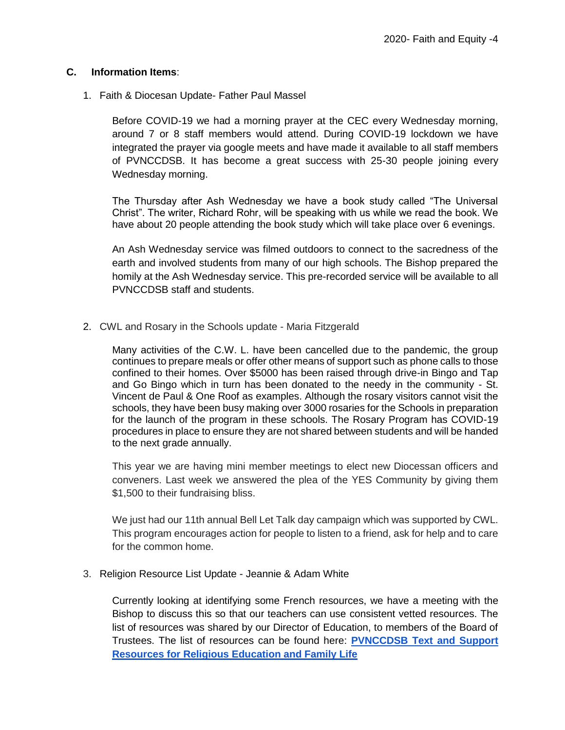# **C. Information Items**:

1. Faith & Diocesan Update- Father Paul Massel

Before COVID-19 we had a morning prayer at the CEC every Wednesday morning, around 7 or 8 staff members would attend. During COVID-19 lockdown we have integrated the prayer via google meets and have made it available to all staff members of PVNCCDSB. It has become a great success with 25-30 people joining every Wednesday morning.

The Thursday after Ash Wednesday we have a book study called "The Universal Christ". The writer, Richard Rohr, will be speaking with us while we read the book. We have about 20 people attending the book study which will take place over 6 evenings.

An Ash Wednesday service was filmed outdoors to connect to the sacredness of the earth and involved students from many of our high schools. The Bishop prepared the homily at the Ash Wednesday service. This pre-recorded service will be available to all PVNCCDSB staff and students.

2. CWL and Rosary in the Schools update - Maria Fitzgerald

Many activities of the C.W. L. have been cancelled due to the pandemic, the group continues to prepare meals or offer other means of support such as phone calls to those confined to their homes. Over \$5000 has been raised through drive-in Bingo and Tap and Go Bingo which in turn has been donated to the needy in the community - St. Vincent de Paul & One Roof as examples. Although the rosary visitors cannot visit the schools, they have been busy making over 3000 rosaries for the Schools in preparation for the launch of the program in these schools. The Rosary Program has COVID-19 procedures in place to ensure they are not shared between students and will be handed to the next grade annually.

This year we are having mini member meetings to elect new Diocessan officers and conveners. Last week we answered the plea of the YES Community by giving them \$1,500 to their fundraising bliss.

We just had our 11th annual Bell Let Talk day campaign which was supported by CWL. This program encourages action for people to listen to a friend, ask for help and to care for the common home.

3. Religion Resource List Update - Jeannie & Adam White

Currently looking at identifying some French resources, we have a meeting with the Bishop to discuss this so that our teachers can use consistent vetted resources. The list of resources was shared by our Director of Education, to members of the Board of Trustees. The list of resources can be found here: **[PVNCCDSB Text and Support](https://docs.google.com/document/d/1kS3FZGyPv83-oYcyZ9gL4xKpbnBn26HnXhiccAuvVlE/edit?usp=sharing)  [Resources for Religious Education and Family Life](https://docs.google.com/document/d/1kS3FZGyPv83-oYcyZ9gL4xKpbnBn26HnXhiccAuvVlE/edit?usp=sharing)**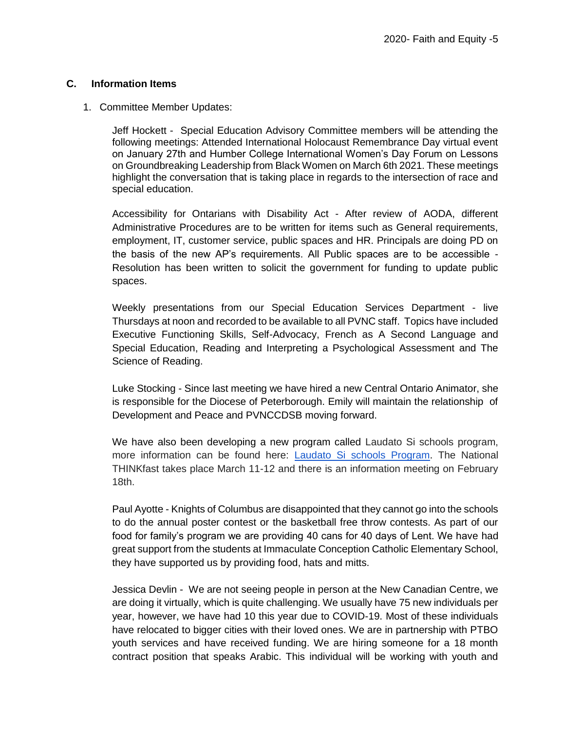### **C. Information Items**

#### 1. Committee Member Updates:

Jeff Hockett - Special Education Advisory Committee members will be attending the following meetings: Attended International Holocaust Remembrance Day virtual event on January 27th and Humber College International Women's Day Forum on Lessons on Groundbreaking Leadership from Black Women on March 6th 2021. These meetings highlight the conversation that is taking place in regards to the intersection of race and special education.

Accessibility for Ontarians with Disability Act - After review of AODA, different Administrative Procedures are to be written for items such as General requirements, employment, IT, customer service, public spaces and HR. Principals are doing PD on the basis of the new AP's requirements. All Public spaces are to be accessible - Resolution has been written to solicit the government for funding to update public spaces.

Weekly presentations from our Special Education Services Department - live Thursdays at noon and recorded to be available to all PVNC staff. Topics have included Executive Functioning Skills, Self-Advocacy, French as A Second Language and Special Education, Reading and Interpreting a Psychological Assessment and The Science of Reading.

Luke Stocking - Since last meeting we have hired a new Central Ontario Animator, she is responsible for the Diocese of Peterborough. Emily will maintain the relationship of Development and Peace and PVNCCDSB moving forward.

We have also been developing a new program called Laudato Si schools program, more information can be found here: [Laudato Si schools Program.](https://mail-attachment.googleusercontent.com/attachment/u/0/?ui=2&ik=3b035ee003&attid=0.1&permmsgid=msg-f:1691456297363726841&th=1779428a6d7661f9&view=att&disp=inline&saddbat=ANGjdJ8h-qh_wl5x8JS0bJcJQN4DQR_cd_hNPIBNiZ3JtL_MT3eN34ZIvPxOQ3wFmVlJUIcR0YGk53-9QxD-xEdY4RkcuncNtq4PG-xBDD3EOUvNloRZXML6HyZaUOxxd4gyWLujxXXidk09MXH6HZJZlbHab_mu15OC0ct2UsWQUrJodsgulisGHY5Xwn0wrmZja-9qtfPcvudjEeRoYUZty7hyiFBfQnkugqMXZ24VlJJyXBl2GjDlRMkhLCDtpBTrcOszgcEUBdDwprbJaxIxP7jtWmU3qVpO39Hhn020wbBXXzBLJaKhHwrQtOjGOfVcW5JHZyvLLkl050ZsZ_xpGi_jUu7dnCRvqrGo3EgNInPn2dgk9gLqtmnmPKUBpx1kEsD1cYXSrWB6nJCaW64FHXOIutUiZQkiE2oSxjTjYCJwurfTtGEv-fV3NexE4vD7JBGakz1Y5Qr0JckV9vnsJw9c7Vb7dalW5MuTHimLhMe0WXGtYHSye8vaRV3TywiDS20NdNkJ7Do2m7yRLcPGBzBbpCrT_23eJn8-MadDI3BHk_CA8hzVjW1OUJlu9YW4N6eSbx_oH88ZatqRY97rRtYzBnvkGU8mY46lpr9tu5JJ8gQgVD5nt4SKJon19mSKDgv22P4lOOfV5D1dUQzlxh3BWc72KO34X-qktwmHBmCixRPeAy-fJjWJa40) The National THINKfast takes place March 11-12 and there is an information meeting on February 18th.

Paul Ayotte - Knights of Columbus are disappointed that they cannot go into the schools to do the annual poster contest or the basketball free throw contests. As part of our food for family's program we are providing 40 cans for 40 days of Lent. We have had great support from the students at Immaculate Conception Catholic Elementary School, they have supported us by providing food, hats and mitts.

Jessica Devlin - We are not seeing people in person at the New Canadian Centre, we are doing it virtually, which is quite challenging. We usually have 75 new individuals per year, however, we have had 10 this year due to COVID-19. Most of these individuals have relocated to bigger cities with their loved ones. We are in partnership with PTBO youth services and have received funding. We are hiring someone for a 18 month contract position that speaks Arabic. This individual will be working with youth and